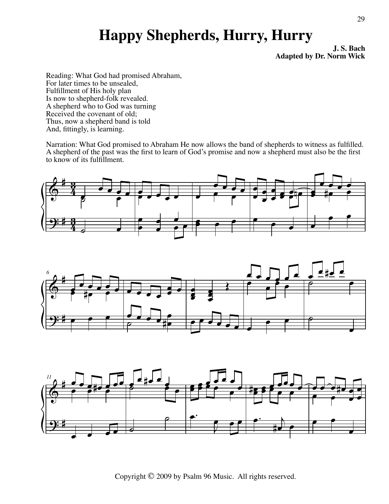## **Happy Shepherds, Hurry, Hurry**

**J. S. Bach Adapted by Dr. Norm Wick**

Reading: What God had promised Abraham, For later times to be unsealed, Fulfillment of His holy plan Is now to shepherd-folk revealed. A shepherd who to God was turning Received the covenant of old; Thus, now a shepherd band is told And, fittingly, is learning.

Narration: What God promised to Abraham He now allows the band of shepherds to witness as fulfilled. A shepherd of the past was the first to learn of God's promise and now a shepherd must also be the first to know of its fulfillment.







Copyright © 2009 by Psalm 96 Music. All rights reserved.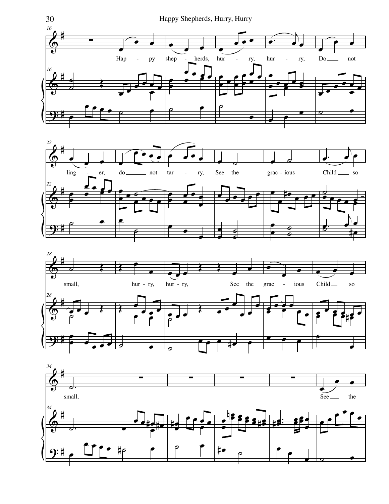





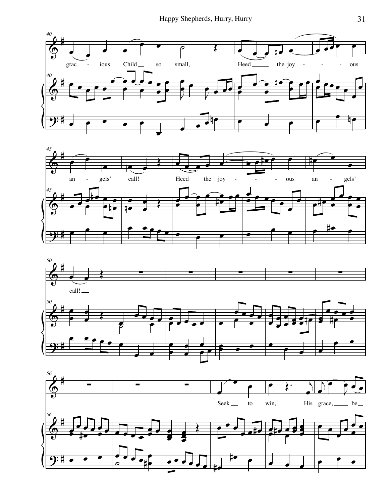